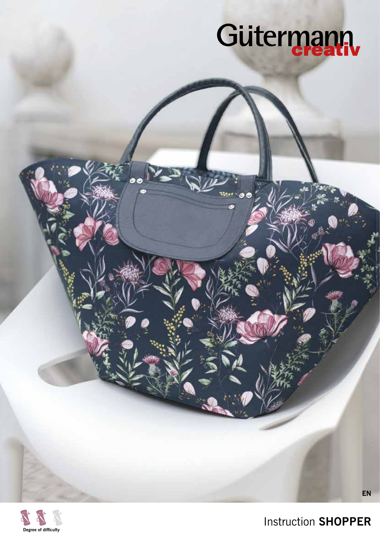# Gütermann



Instruction **SHOPPER**

**EN**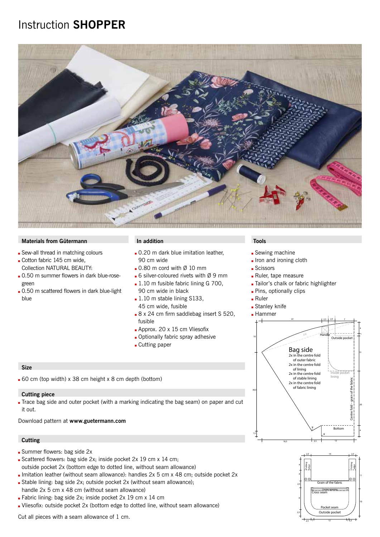## Instruction **SHOPPER**



#### **Materials from Gütermann In addition Tools**

- Sew-all thread in matching colours
- Cotton fabric 145 cm wide, Collection NATURAL BEAUTY:
- . 0.50 m summer flowers in dark blue-rosegreen
- . 0.50 m scattered flowers in dark blue-light blue

- **Q** 0.20 m dark blue imitation leather. 90 cm wide
- $\Box$  0.80 m cord with Ø 10 mm
- $\blacksquare$  6 silver-coloured rivets with Ø 9 mm
- $\blacksquare$  1.10 m fusible fabric lining G 700, 90 cm wide in black
- $\blacksquare$  1.10 m stable lining S133, 45 cm wide, fusible
- 8 x 24 cm firm saddlebag insert S 520, fusible
- $\blacksquare$  Approx. 20 x 15 cm Vliesofix
- **Q** Optionally fabric spray adhesive
- **Cutting paper**

#### **Size**

 $60$  cm (top width) x 38 cm height x 8 cm depth (bottom)

#### **Cutting piece**

Trace bag side and outer pocket (with a marking indicating the bag seam) on paper and cut it out.

Download pattern at **www.guetermann.com**

#### **Cutting**

- Summer flowers: bag side 2x
- Scattered flowers: bag side 2x; inside pocket 2x 19 cm x 14 cm; outside pocket 2x (bottom edge to dotted line, without seam allowance)
- Imitation leather (without seam allowance): handles  $2x$  5 cm x 48 cm; outside pocket  $2x$
- Stable lining: bag side 2x; outside pocket 2x (without seam allowance);
- handle 2x 5 cm x 48 cm (without seam allowance)
- Fabric lining: bag side 2x; inside pocket 2x 19 cm x 14 cm
- Uliesofix: outside pocket 2x (bottom edge to dotted line, without seam allowance)

Cut all pieces with a seam allowance of 1 cm.

- **Sewing machine**
- **.** Iron and ironing cloth
- **Scissors**
- Ruler, tape measure
- Tailor's chalk or fabric highlighter
- **Pins, optionally clips**
- $Ruler$
- **Stanley knife**

#### **Hammer**



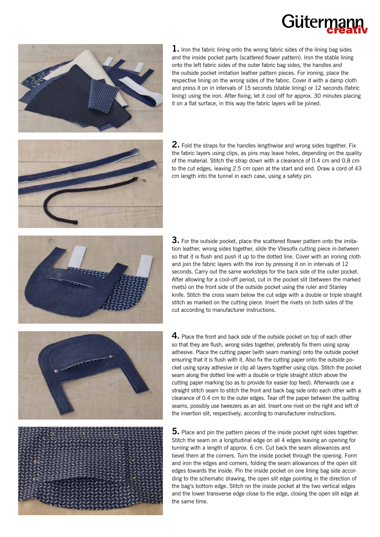## Güterr



**1.** Iron the fabric lining onto the wrong fabric sides of the lining bag sides and the inside pocket parts (scattered flower pattern). Iron the stable lining onto the left fabric sides of the outer fabric bag sides, the handles and the outside pocket imitation leather pattern pieces. For ironing, place the respective lining on the wrong sides of the fabric. Cover it with a damp cloth and press it on in intervals of 15 seconds (stable lining) or 12 seconds (fabric lining) using the iron. After fixing, let it cool off for approx. 30 minutes placing it on a flat surface, in this way the fabric layers will be joined.

**2.** Fold the straps for the handles lengthwise and wrong sides together. Fix the fabric layers using clips, as pins may leave holes, depending on the quality of the material. Stitch the strap down with a clearance of 0.4 cm and 0.8 cm to the cut edges, leaving 2.5 cm open at the start and end. Draw a cord of 43 cm length into the tunnel in each case, using a safety pin.



**3.** For the outside pocket, place the scattered flower pattern onto the imitation leather, wrong sides together, slide the Vliesofix cutting piece in-between so that it is flush and push it up to the dotted line. Cover with an ironing cloth and join the fabric layers with the iron by pressing it on in intervals of 12 seconds. Carry out the same worksteps for the back side of the outer pocket. After allowing for a cool-off period, cut in the pocket slit (between the marked rivets) on the front side of the outside pocket using the ruler and Stanley knife. Stitch the cross seam below the cut edge with a double or triple straight stitch as marked on the cutting piece. Insert the rivets on both sides of the cut according to manufacturer instructions.

**4.** Place the front and back side of the outside pocket on top of each other so that they are flush, wrong sides together, preferably fix them using spray adhesive. Place the cutting paper (with seam marking) onto the outside pocket ensuring that it is flush with it. Also fix the cutting paper onto the outside pocket using spray adhesive or clip all layers together using clips. Stitch the pocket seam along the dotted line with a double or triple straight stitch above the cutting paper marking (so as to provide for easier top feed). Afterwards use a straight stitch seam to stitch the front and back bag side onto each other with a clearance of 0.4 cm to the outer edges. Tear off the paper between the quilting seams, possibly use tweezers as an aid. Insert one rivet on the right and left of the insertion slit, respectively, according to manufacturer instructions.

**5.** Place and pin the pattern pieces of the inside pocket right sides together. Stitch the seam on a longitudinal edge on all 4 edges leaving an opening for turning with a length of approx. 6 cm. Cut back the seam allowances and bevel them at the corners. Turn the inside pocket through the opening. Form and iron the edges and corners, folding the seam allowances of the open slit edges towards the inside. Pin the inside pocket on one lining bag side according to the schematic drawing, the open slit edge pointing in the direction of the bag's bottom edge. Stitch on the inside pocket at the two vertical edges and the lower transverse edge close to the edge, closing the open slit edge at the same time.



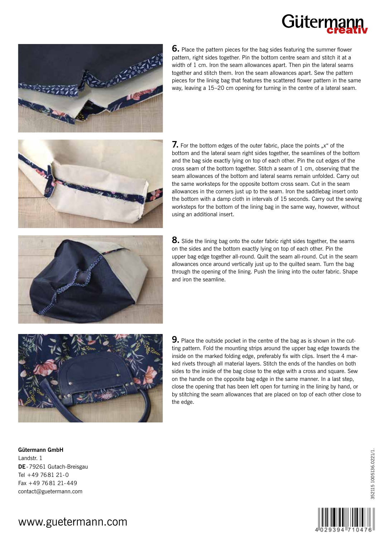# Gütern



**6.** Place the pattern pieces for the bag sides featuring the summer flower pattern, right sides together. Pin the bottom centre seam and stitch it at a width of 1 cm. Iron the seam allowances apart. Then pin the lateral seams together and stitch them. Iron the seam allowances apart. Sew the pattern pieces for the lining bag that features the scattered flower pattern in the same way, leaving a 15–20 cm opening for turning in the centre of a lateral seam.



**7.** For the bottom edges of the outer fabric, place the points "x" of the bottom and the lateral seam right sides together, the seamlines of the bottom and the bag side exactly lying on top of each other. Pin the cut edges of the cross seam of the bottom together. Stitch a seam of 1 cm, observing that the seam allowances of the bottom and lateral seams remain unfolded. Carry out the same worksteps for the opposite bottom cross seam. Cut in the seam allowances in the corners just up to the seam. Iron the saddlebag insert onto the bottom with a damp cloth in intervals of 15 seconds. Carry out the sewing worksteps for the bottom of the lining bag in the same way, however, without using an additional insert.

**8.** Slide the lining bag onto the outer fabric right sides together, the seams on the sides and the bottom exactly lying on top of each other. Pin the upper bag edge together all-round. Quilt the seam all-round. Cut in the seam allowances once around vertically just up to the quilted seam. Turn the bag through the opening of the lining. Push the lining into the outer fabric. Shape and iron the seamline.



**9.** Place the outside pocket in the centre of the bag as is shown in the cutting pattern. Fold the mounting strips around the upper bag edge towards the inside on the marked folding edge, preferably fix with clips. Insert the 4 marked rivets through all material layers. Stitch the ends of the handles on both sides to the inside of the bag close to the edge with a cross and square. Sew on the handle on the opposite bag edge in the same manner. In a last step, close the opening that has been left open for turning in the lining by hand, or by stitching the seam allowances that are placed on top of each other close to the edge.

**Gütermann GmbH** Landstr. 1 **DE**-79261 Gutach-Breisgau Tel +49 7681 21-0 Fax +49 7681 21-449 contact@guetermann.com



352115 1005136.0221/1.

152115 1005136.0221/1

### www.guetermann.com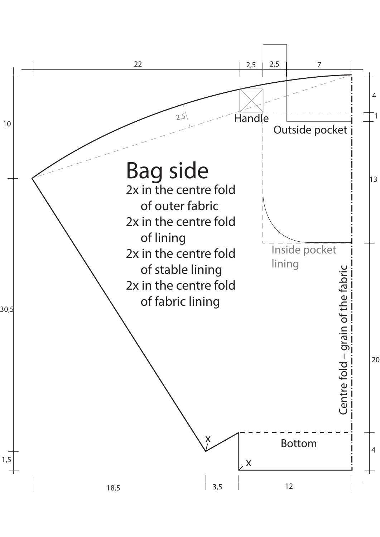